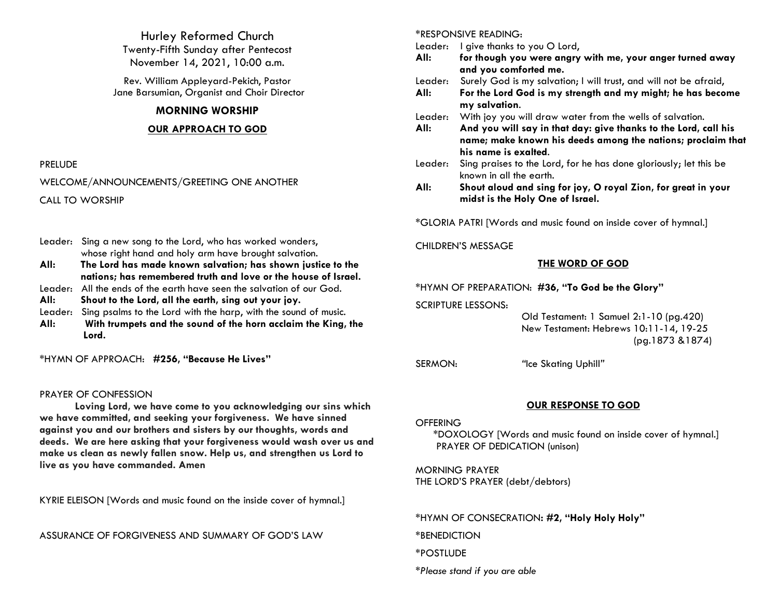Hurley Reformed Church Twenty-Fifth Sunday after Pentecost November 14, 2021, 10:00 a.m.

Rev. William Appleyard-Pekich, Pastor Jane Barsumian, Organist and Choir Director

#### **MORNING WORSHIP**

#### **OUR APPROACH TO GOD**

#### PRELUDE

WELCOME/ANNOUNCEMENTS/GREETING ONE ANOTHER CALL TO WORSHIP

- Leader: Sing a new song to the Lord, who has worked wonders, whose right hand and holy arm have brought salvation.
- **All: The Lord has made known salvation; has shown justice to the nations; has remembered truth and love or the house of Israel.**
- Leader: All the ends of the earth have seen the salvation of our God.
- **All: Shout to the Lord, all the earth, sing out your joy.**
- Leader: Sing psalms to the Lord with the harp, with the sound of music.
- **All: With trumpets and the sound of the horn acclaim the King, the Lord.**

\*HYMN OF APPROACH: **#256, "Because He Lives"**

#### PRAYER OF CONFESSION

**Loving Lord, we have come to you acknowledging our sins which we have committed, and seeking your forgiveness. We have sinned against you and our brothers and sisters by our thoughts, words and deeds. We are here asking that your forgiveness would wash over us and make us clean as newly fallen snow. Help us, and strengthen us Lord to live as you have commanded. Amen**

KYRIE ELEISON [Words and music found on the inside cover of hymnal.]

ASSURANCE OF FORGIVENESS AND SUMMARY OF GOD'S LAW

#### \*RESPONSIVE READING:

Leader: I give thanks to you O Lord,

- **All: for though you were angry with me, your anger turned away and you comforted me.**
- Leader: Surely God is my salvation; I will trust, and will not be afraid,
- **All: For the Lord God is my strength and my might; he has become my salvation**.
- Leader: With joy you will draw water from the wells of salvation.
- **All: And you will say in that day: give thanks to the Lord, call his name; make known his deeds among the nations; proclaim that his name is exalted**.
- Leader: Sing praises to the Lord, for he has done gloriously; let this be known in all the earth.
- **All: Shout aloud and sing for joy, O royal Zion, for great in your midst is the Holy One of Israel.**

\*GLORIA PATRI [Words and music found on inside cover of hymnal.]

#### CHILDREN'S MESSAGE

#### **THE WORD OF GOD**

#### \*HYMN OF PREPARATION: **#36, "To God be the Glory"**

SCRIPTURE LESSONS:

 Old Testament: 1 Samuel 2:1-10 (pg.420) New Testament: Hebrews 10:11-14, 19-25 (pg.1873 &1874)

SERMON: *"*Ice Skating Uphill*"*

## **OUR RESPONSE TO GOD**

#### **OFFERING**

\*DOXOLOGY [Words and music found on inside cover of hymnal.] PRAYER OF DEDICATION (unison)

MORNING PRAYER THE LORD'S PRAYER (debt/debtors)

\*HYMN OF CONSECRATION**: #2, "Holy Holy Holy"**

\*BENEDICTION

\*POSTLUDE

*\*Please stand if you are able*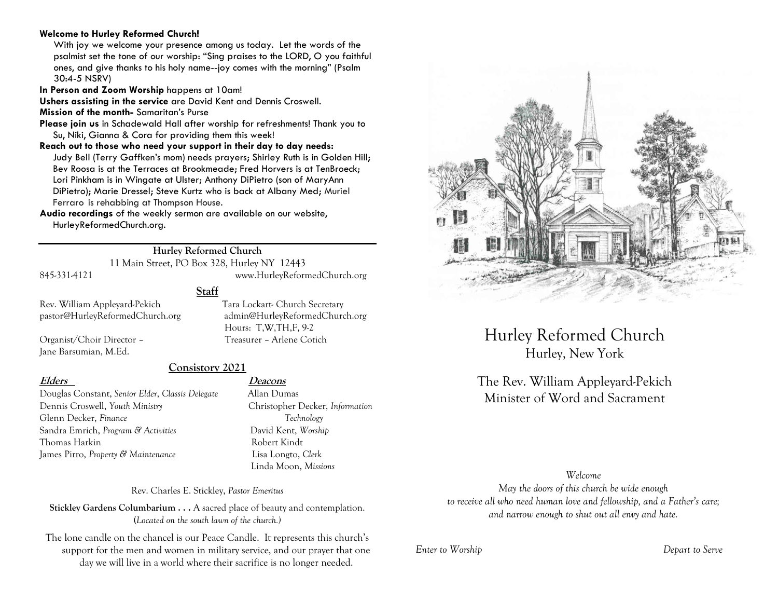#### **Welcome to Hurley Reformed Church!**

With joy we welcome your presence among us today. Let the words of the psalmist set the tone of our worship: "Sing praises to the LORD, O you faithful ones, and give thanks to his holy name--joy comes with the morning" (Psalm 30:4-5 NSRV)

**In Person and Zoom Worship** happens at 10am!

**Ushers assisting in the service** are David Kent and Dennis Croswell.

**Mission of the month-** Samaritan's Purse

**Please join us** in Schadewald Hall after worship for refreshments! Thank you to Su, Niki, Gianna & Cora for providing them this week!

**Reach out to those who need your support in their day to day needs:**  Judy Bell (Terry Gaffken's mom) needs prayers; Shirley Ruth is in Golden Hill; Bev Roosa is at the Terraces at Brookmeade; Fred Horvers is at TenBroeck; Lori Pinkham is in Wingate at Ulster; Anthony DiPietro (son of MaryAnn DiPietro); Marie Dressel; Steve Kurtz who is back at Albany Med; Muriel Ferraro is rehabbing at Thompson House.

**Audio recordings** of the weekly sermon are available on our website, HurleyReformedChurch.org.

#### **Hurley Reformed Church**

11 Main Street, PO Box 328, Hurley NY 12443

845-331-4121 www.HurleyReformedChurch.org

**Staff**

Rev. William Appleyard-Pekich Tara Lockart- Church Secretary pastor@HurleyReformedChurch.org admin@HurleyReformedChurch.org

Organist/Choir Director – Treasurer – Arlene Cotich Jane Barsumian, M.Ed.

## **Consistory 2021**

Douglas Constant, *Senior Elder*, *Classis Delegate* Allan Dumas Dennis Croswell, *Youth Ministry* Christopher Decker, *Information* Glenn Decker, *Finance Technology* Sandra Emrich, *Program & Activities* David Kent, *Worship* Thomas Harkin **Robert Kindt** James Pirro, *Property & Maintenance* Lisa Longto, *Clerk*

#### **Elders Deacons**

Hours: T,W,TH,F, 9-2

Linda Moon, *Missions*

Rev. Charles E. Stickley, *Pastor Emeritus*

**Stickley Gardens Columbarium . . .** A sacred place of beauty and contemplation. (*Located on the south lawn of the church.)* 

The lone candle on the chancel is our Peace Candle. It represents this church's support for the men and women in military service, and our prayer that one day we will live in a world where their sacrifice is no longer needed.



Hurley Reformed Church Hurley, New York

# The Rev. William Appleyard-Pekich Minister of Word and Sacrament

*Welcome*

*May the doors of this church be wide enough to receive all who need human love and fellowship, and a Father's care; and narrow enough to shut out all envy and hate.*

*Enter to Worship Depart to Serve*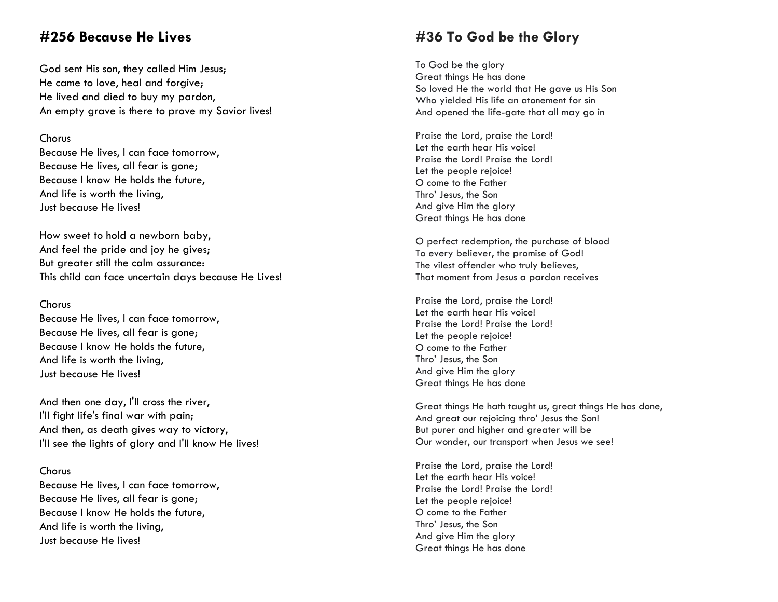# **#256 Because He Lives**

God sent His son, they called Him Jesus; He came to love, heal and forgive; He lived and died to buy my pardon, An empty grave is there to prove my Savior lives!

#### Chorus

Because He lives, I can face tomorrow, Because He lives, all fear is gone; Because I know He holds the future, And life is worth the living, Just because He lives!

How sweet to hold a newborn baby, And feel the pride and joy he gives; But greater still the calm assurance: This child can face uncertain days because He Lives!

#### Chorus

Because He lives, I can face tomorrow, Because He lives, all fear is gone; Because I know He holds the future, And life is worth the living, Just because He lives!

And then one day, I'll cross the river, I'll fight life's final war with pain; And then, as death gives way to victory, I'll see the lights of glory and I'll know He lives!

#### Chorus

Because He lives, I can face tomorrow, Because He lives, all fear is gone; Because I know He holds the future, And life is worth the living, Just because He lives!

# **#36 To God be the Glory**

To God be the glory Great things He has done So loved He the world that He gave us His Son Who yielded His life an atonement for sin And opened the life -gate that all may go in

Praise the Lord, praise the Lord! Let the earth hear His voice! Praise the Lord! Praise the Lord ! Let the people rejoice! O come to the Father Thro' Jesus , the Son And give Him the glory Great things He has done

O perfect redemption, the purchase of blood To every believer, the promise of God! The vilest offender who truly believes, That moment from Jesus a pardon receives

Praise the Lord, praise the Lord! Let the earth hear His voice! Praise the Lord! Praise the Lord ! Let the people rejoice! O come to the Father Thro' Jesus , the Son And give Him the glory Great things He has done

Great things He hath taught us, great things He has done , And great our rejoicing thro' Jesus the Son ! But purer and higher and greater will be Our wonder, our transport when Jesus we see!

Praise the Lord, praise the Lord! Let the earth hear His voice! Praise the Lord! Praise the Lord ! Let the people rejoice! O come to the Father Thro' Jesus , the Son And give Him the glory Great things He has done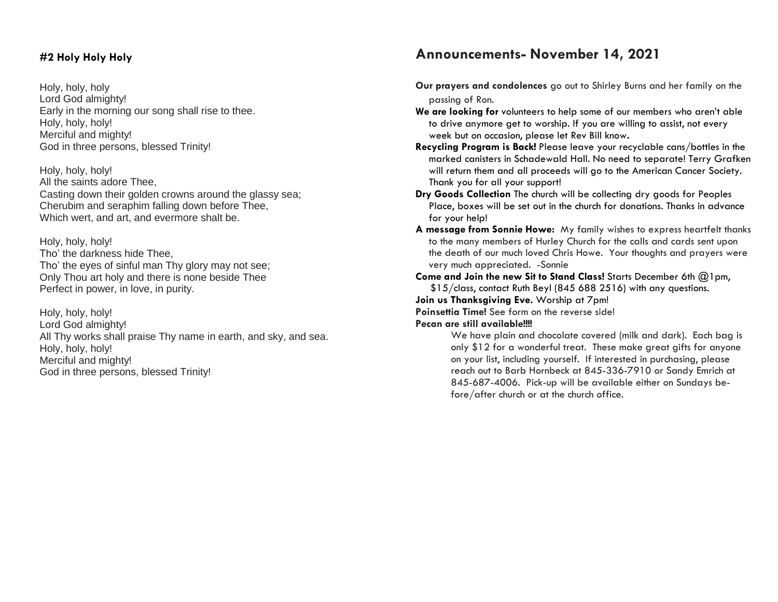### **#2 Holy Holy Holy**

Holy, holy, holy Lord God almighty! Early in the morning our song shall rise to thee. Holy, holy, holy! Merciful and mighty! God in three persons, blessed Trinity!

Holy, holy, holy! All the saints adore Thee, Casting down their golden crowns around the glassy sea; Cherubim and seraphim falling down before Thee, Which wert, and art, and evermore shalt be.

Holy, holy, holy! Tho' the darkness hide Thee, Tho' the eyes of sinful man Thy glory may not see; Only Thou art holy and there is none beside Thee Perfect in power, in love, in purity.

Holy, holy, holy! Lord God almighty! All Thy works shall praise Thy name in earth, and sky, and sea. Holy, holy, holy! Merciful and mighty! God in three persons, blessed Trinity!

# **Announcements- November 14, 2021**

- **Our prayers and condolences** go out to Shirley Burns and her family on the passing of Ron.
- **We are looking for** volunteers to help some of our members who aren't able to drive anymore get to worship. If you are willing to assist, not every week but on occasion, please let Rev Bill know**.**
- **Recycling Program is Back!** Please leave your recyclable cans/bottles in the marked canisters in Schadewald Hall. No need to separate! Terry Grafken will return them and all proceeds will go to the American Cancer Society. Thank you for all your support!
- **Dry Goods Collection** The church will be collecting dry goods for Peoples Place, boxes will be set out in the church for donations. Thanks in advance for your help!
- **A message from Sonnie Howe:** My family wishes to express heartfelt thanks to the many members of Hurley Church for the calls and cards sent upon the death of our much loved Chris Howe. Your thoughts and prayers were very much appreciated. -Sonnie
- **Come and Join the new Sit to Stand Class!** Starts December 6th @1pm, \$15/class, contact Ruth Beyl (845 688 2516) with any questions.

**Join us Thanksgiving Eve.** Worship at 7pm!

**Poinsettia Time!** See form on the reverse side!

#### **Pecan are still available!!!!**

We have plain and chocolate covered (milk and dark). Each bag is only \$12 for a wonderful treat. These make great gifts for anyone on your list, including yourself. If interested in purchasing, please reach out to Barb Hornbeck at 845-336-7910 or Sandy Emrich at 845-687-4006. Pick-up will be available either on Sundays before/after church or at the church office.